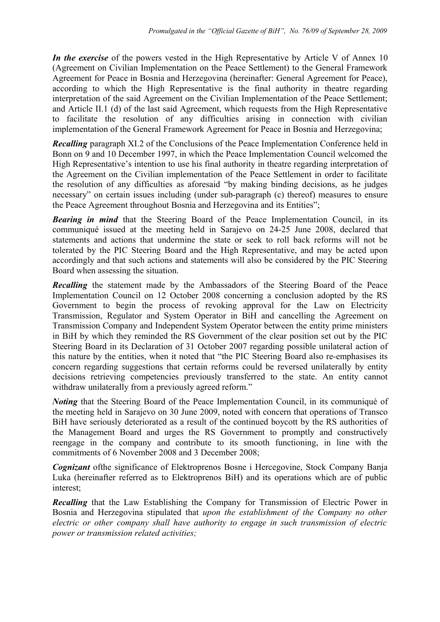*In the exercise* of the powers vested in the High Representative by Article V of Annex 10 (Agreement on Civilian Implementation on the Peace Settlement) to the General Framework Agreement for Peace in Bosnia and Herzegovina (hereinafter: General Agreement for Peace), according to which the High Representative is the final authority in theatre regarding interpretation of the said Agreement on the Civilian Implementation of the Peace Settlement; and Article II.1 (d) of the last said Agreement, which requests from the High Representative to facilitate the resolution of any difficulties arising in connection with civilian implementation of the General Framework Agreement for Peace in Bosnia and Herzegovina;

*Recalling* paragraph XI.2 of the Conclusions of the Peace Implementation Conference held in Bonn on 9 and 10 December 1997, in which the Peace Implementation Council welcomed the High Representative's intention to use his final authority in theatre regarding interpretation of the Agreement on the Civilian implementation of the Peace Settlement in order to facilitate the resolution of any difficulties as aforesaid "by making binding decisions, as he judges necessary" on certain issues including (under sub-paragraph (c) thereof) measures to ensure the Peace Agreement throughout Bosnia and Herzegovina and its Entities";

**Bearing in mind** that the Steering Board of the Peace Implementation Council, in its communiqué issued at the meeting held in Sarajevo on 24-25 June 2008, declared that statements and actions that undermine the state or seek to roll back reforms will not be tolerated by the PIC Steering Board and the High Representative, and may be acted upon accordingly and that such actions and statements will also be considered by the PIC Steering Board when assessing the situation.

*Recalling* the statement made by the Ambassadors of the Steering Board of the Peace Implementation Council on 12 October 2008 concerning a conclusion adopted by the RS Government to begin the process of revoking approval for the Law on Electricity Transmission, Regulator and System Operator in BiH and cancelling the Agreement on Transmission Company and Independent System Operator between the entity prime ministers in BiH by which they reminded the RS Government of the clear position set out by the PIC Steering Board in its Declaration of 31 October 2007 regarding possible unilateral action of this nature by the entities, when it noted that "the PIC Steering Board also re-emphasises its concern regarding suggestions that certain reforms could be reversed unilaterally by entity decisions retrieving competencies previously transferred to the state. An entity cannot withdraw unilaterally from a previously agreed reform."

*Noting* that the Steering Board of the Peace Implementation Council, in its communiqué of the meeting held in Sarajevo on 30 June 2009, noted with concern that operations of Transco BiH have seriously deteriorated as a result of the continued boycott by the RS authorities of the Management Board and urges the RS Government to promptly and constructively reengage in the company and contribute to its smooth functioning, in line with the commitments of 6 November 2008 and 3 December 2008;

*Cognizant* of the significance of Elektroprenos Bosne i Hercegovine, Stock Company Banja Luka (hereinafter referred as to Elektroprenos BiH) and its operations which are of public interest;

*Recalling* that the Law Establishing the Company for Transmission of Electric Power in Bosnia and Herzegovina stipulated that *upon the establishment of the Company no other electric or other company shall have authority to engage in such transmission of electric power or transmission related activities;*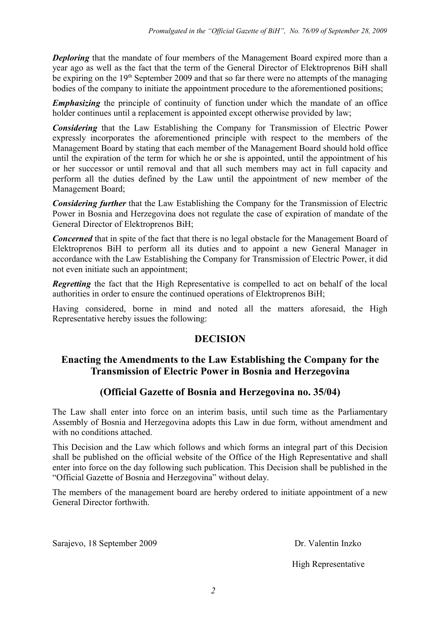*Deploring* that the mandate of four members of the Management Board expired more than a year ago as well as the fact that the term of the General Director of Elektroprenos BiH shall be expiring on the 19<sup>th</sup> September 2009 and that so far there were no attempts of the managing bodies of the company to initiate the appointment procedure to the aforementioned positions;

*Emphasizing* the principle of continuity of function under which the mandate of an office holder continues until a replacement is appointed except otherwise provided by law;

*Considering* that the Law Establishing the Company for Transmission of Electric Power expressly incorporates the aforementioned principle with respect to the members of the Management Board by stating that each member of the Management Board should hold office until the expiration of the term for which he or she is appointed, until the appointment of his or her successor or until removal and that all such members may act in full capacity and perform all the duties defined by the Law until the appointment of new member of the Management Board;

*Considering further* that the Law Establishing the Company for the Transmission of Electric Power in Bosnia and Herzegovina does not regulate the case of expiration of mandate of the General Director of Elektroprenos BiH;

*Concerned* that in spite of the fact that there is no legal obstacle for the Management Board of Elektroprenos BiH to perform all its duties and to appoint a new General Manager in accordance with the Law Establishing the Company for Transmission of Electric Power, it did not even initiate such an appointment;

*Regretting* the fact that the High Representative is compelled to act on behalf of the local authorities in order to ensure the continued operations of Elektroprenos BiH;

Having considered, borne in mind and noted all the matters aforesaid, the High Representative hereby issues the following:

## **DECISION**

## **Enacting the Amendments to the Law Establishing the Company for the Transmission of Electric Power in Bosnia and Herzegovina**

## **(Official Gazette of Bosnia and Herzegovina no. 35/04)**

The Law shall enter into force on an interim basis, until such time as the Parliamentary Assembly of Bosnia and Herzegovina adopts this Law in due form, without amendment and with no conditions attached.

This Decision and the Law which follows and which forms an integral part of this Decision shall be published on the official website of the Office of the High Representative and shall enter into force on the day following such publication. This Decision shall be published in the "Official Gazette of Bosnia and Herzegovina" without delay.

The members of the management board are hereby ordered to initiate appointment of a new General Director forthwith.

Sarajevo, 18 September 2009 Dr. Valentin Inzko

High Representative